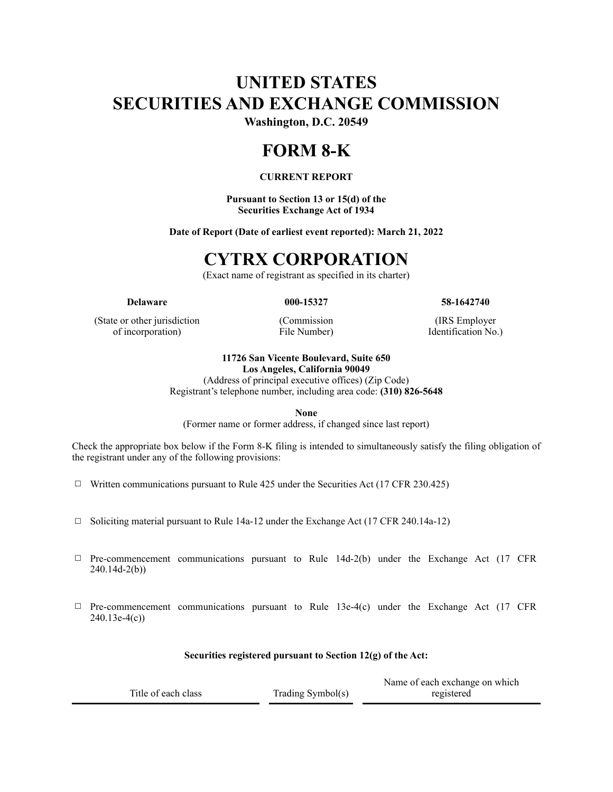# **UNITED STATES SECURITIES AND EXCHANGE COMMISSION**

**Washington, D.C. 20549**

## **FORM 8-K**

#### **CURRENT REPORT**

**Pursuant to Section 13 or 15(d) of the Securities Exchange Act of 1934**

**Date of Report (Date of earliest event reported): March 21, 2022**

### **CYTRX CORPORATION**

(Exact name of registrant as specified in its charter)

**Delaware 000-15327 58-1642740**

(State or other jurisdiction of incorporation)

(Commission File Number)

(IRS Employer Identification No.)

### **11726 San Vicente Boulevard, Suite 650**

**Los Angeles, California 90049**

(Address of principal executive offices) (Zip Code) Registrant's telephone number, including area code: **(310) 826-5648**

**None**

(Former name or former address, if changed since last report)

Check the appropriate box below if the Form 8-K filing is intended to simultaneously satisfy the filing obligation of the registrant under any of the following provisions:

 $\Box$  Written communications pursuant to Rule 425 under the Securities Act (17 CFR 230.425)

- ☐ Soliciting material pursuant to Rule 14a-12 under the Exchange Act (17 CFR 240.14a-12)
- $\Box$  Pre-commencement communications pursuant to Rule 14d-2(b) under the Exchange Act (17 CFR 240.14d-2(b))
- $\Box$  Pre-commencement communications pursuant to Rule 13e-4(c) under the Exchange Act (17 CFR 240.13e-4(c))

#### **Securities registered pursuant to Section 12(g) of the Act:**

|                     |                      | Name of each exchange on which |
|---------------------|----------------------|--------------------------------|
| Title of each class | Trading Symbol $(s)$ | registered                     |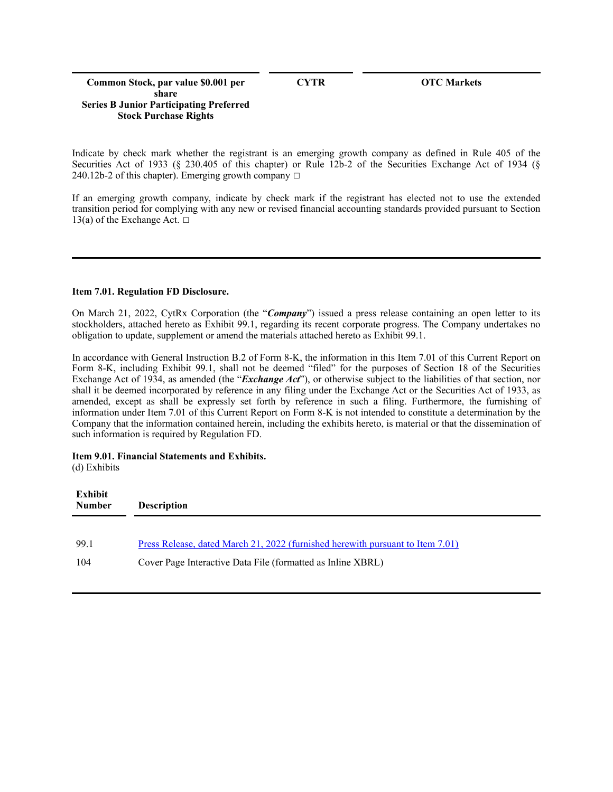#### **Common Stock, par value \$0.001 per share Series B Junior Participating Preferred Stock Purchase Rights**

**CYTR OTC Markets**

Indicate by check mark whether the registrant is an emerging growth company as defined in Rule 405 of the Securities Act of 1933 (§ 230.405 of this chapter) or Rule 12b-2 of the Securities Exchange Act of 1934 (§ 240.12b-2 of this chapter). Emerging growth company  $\Box$ 

If an emerging growth company, indicate by check mark if the registrant has elected not to use the extended transition period for complying with any new or revised financial accounting standards provided pursuant to Section 13(a) of the Exchange Act.  $□$ 

#### **Item 7.01. Regulation FD Disclosure.**

On March 21, 2022, CytRx Corporation (the "*Company*") issued a press release containing an open letter to its stockholders, attached hereto as Exhibit 99.1, regarding its recent corporate progress. The Company undertakes no obligation to update, supplement or amend the materials attached hereto as Exhibit 99.1.

In accordance with General Instruction B.2 of Form 8-K, the information in this Item 7.01 of this Current Report on Form 8-K, including Exhibit 99.1, shall not be deemed "filed" for the purposes of Section 18 of the Securities Exchange Act of 1934, as amended (the "*Exchange Act*"), or otherwise subject to the liabilities of that section, nor shall it be deemed incorporated by reference in any filing under the Exchange Act or the Securities Act of 1933, as amended, except as shall be expressly set forth by reference in such a filing. Furthermore, the furnishing of information under Item 7.01 of this Current Report on Form 8-K is not intended to constitute a determination by the Company that the information contained herein, including the exhibits hereto, is material or that the dissemination of such information is required by Regulation FD.

#### **Item 9.01. Financial Statements and Exhibits.**

(d) Exhibits

| Exhibit<br><b>Number</b> | <b>Description</b>                                                             |
|--------------------------|--------------------------------------------------------------------------------|
| 99.1                     | Press Release, dated March 21, 2022 (furnished herewith pursuant to Item 7.01) |
| 104                      | Cover Page Interactive Data File (formatted as Inline XBRL)                    |